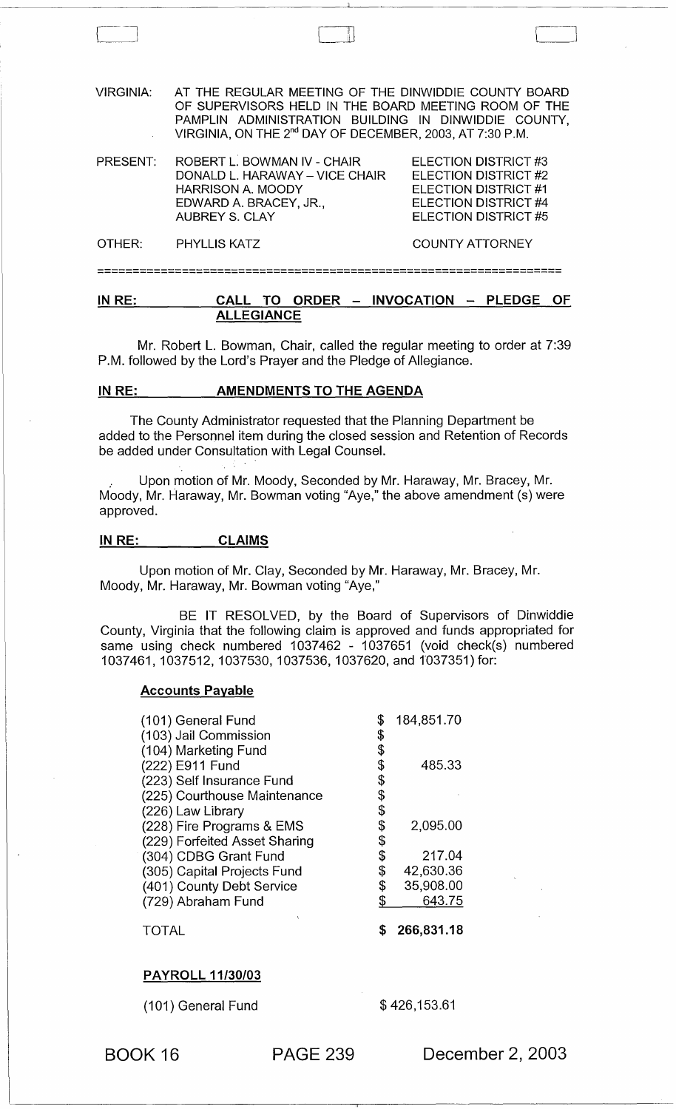| <b>VIRGINIA:</b> | AT THE REGULAR MEETING OF THE DINWIDDIE COUNTY BOARD<br>OF SUPERVISORS HELD IN THE BOARD MEETING ROOM OF THE<br>PAMPLIN ADMINISTRATION BUILDING IN DINWIDDIE COUNTY,<br>VIRGINIA, ON THE 2 <sup>nd</sup> DAY OF DECEMBER, 2003, AT 7:30 P.M. |                                                                                                                             |  |  |
|------------------|----------------------------------------------------------------------------------------------------------------------------------------------------------------------------------------------------------------------------------------------|-----------------------------------------------------------------------------------------------------------------------------|--|--|
| PRESENT:         | ROBERT L. BOWMAN IV - CHAIR<br>DONALD L. HARAWAY - VICE CHAIR<br><b>HARRISON A. MOODY</b><br>EDWARD A. BRACEY, JR.,<br><b>AUBREY S. CLAY</b>                                                                                                 | ELECTION DISTRICT #3<br>ELECTION DISTRICT #2<br>ELECTION DISTRICT #1<br>ELECTION DISTRICT #4<br><b>ELECTION DISTRICT #5</b> |  |  |
| OTHER:           | <b>PHYLLIS KATZ</b>                                                                                                                                                                                                                          | <b>COUNTY ATTORNEY</b>                                                                                                      |  |  |
|                  |                                                                                                                                                                                                                                              |                                                                                                                             |  |  |

 $\Box$ 

## IN RE: CALL TO ORDER - INVOCATION - PLEDGE OF ALLEGIANCE

Mr. Robert L. Bowman, Chair, called the regular meeting to order at 7:39 P.M. followed by the Lord's Prayer and the Pledge of Allegiance.

#### IN RE: AMENDMENTS TO THE AGENDA

The County Administrator requested that the Planning Department be added to the Personnel item during the closed session and Retention of Records be added under Consultation with Legal Counsel.

." Upon motion of Mr. Moody, Seconded by Mr. Haraway, Mr. Bracey, Mr. Moody, Mr. Haraway, Mr. Bowman voting "Aye," the above amendment (s) were approved.

#### IN RE: CLAIMS

Upon motion of Mr. Clay, Seconded by Mr. Haraway, Mr. Bracey, Mr. Moody, Mr. Haraway, Mr. Bowman voting "Aye,"

BE IT RESOLVED, by the Board of Supervisors of Dinwiddie County, Virginia that the following claim is approved and funds appropriated for same using check numbered 1037462 - 1037651 (void check(s) numbered 1037461, 1037512, 1037530, 1037536, 1037620, and 1037351) for:

#### Accounts Payable

| (101) General Fund            | \$<br>184,851.70 |
|-------------------------------|------------------|
| (103) Jail Commission         | \$               |
| (104) Marketing Fund          | \$               |
| (222) E911 Fund               | \$<br>485.33     |
| (223) Self Insurance Fund     | \$               |
| (225) Courthouse Maintenance  | \$               |
| (226) Law Library             | \$               |
| (228) Fire Programs & EMS     | \$<br>2,095.00   |
| (229) Forfeited Asset Sharing | \$               |
| (304) CDBG Grant Fund         | \$<br>217.04     |
| (305) Capital Projects Fund   | \$<br>42,630.36  |
| (401) County Debt Service     | \$<br>35,908.00  |
| (729) Abraham Fund            | \$<br>643.75     |
|                               | 266,831.18       |

## PAYROLL 11/30/03

(101) General Fund \$ 426,153.61

BOOK 16 PAGE 239 December 2, 2003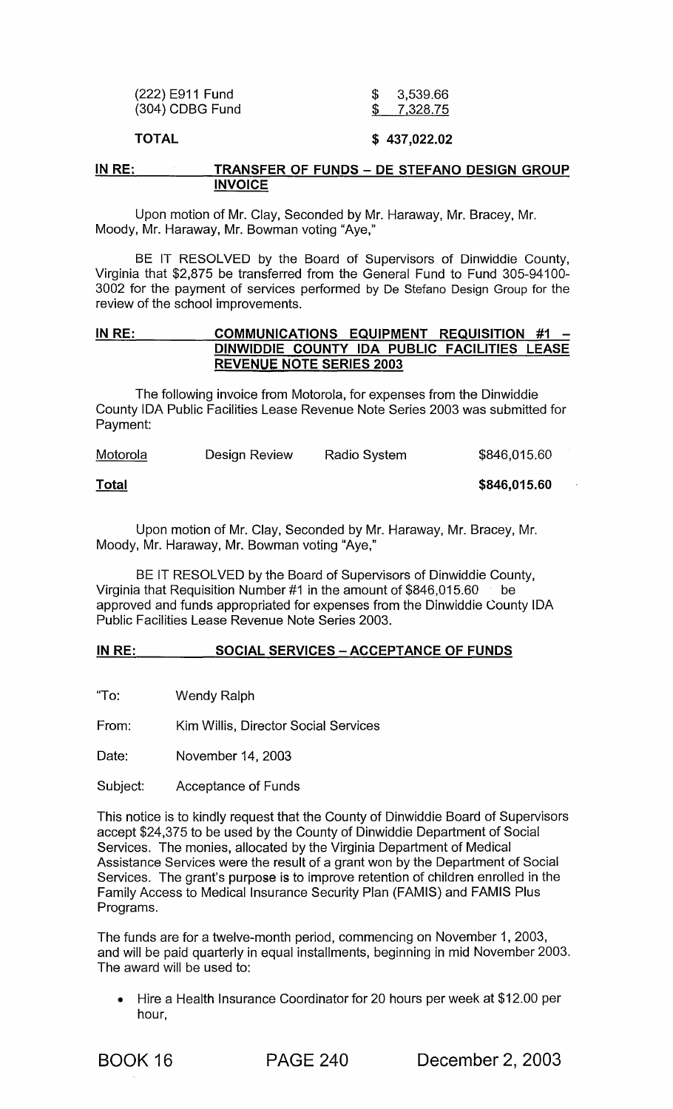| (222) E911 Fund   | \$3,539.66 |
|-------------------|------------|
| $(304)$ CDBG Fund | \$7,328.75 |
|                   |            |

## **TOTAL \$ 437,022.02**

#### **IN RE: TRANSFER OF FUNDS - DE STEFANO DESIGN GROUP INVOICE**

Upon motion of Mr. Clay, Seconded by Mr. Haraway, Mr. Bracey, Mr. Moody, Mr. Haraway, Mr. Bowman voting "Aye,"

BE IT RESOLVED by the Board of Supervisors of Dinwiddie County, Virginia that \$2,875 be transferred from the General Fund to Fund 305-94100- 3002 for the payment of services performed by De Stefano Design Group for the review of the school improvements.

## **IN RE: COMMUNICATIONS EQUIPMENT REQUISITION #1 DINWIDDIE COUNTY IDA PUBLIC FACILITIES LEASE REVENUE NOTE SERIES 2003**

The following invoice from Motorola, for expenses from the Dinwiddie County IDA Public Facilities Lease Revenue Note Series 2003 was submitted for Payment:

| Motorola     | Design Review | <b>Radio System</b> | \$846,015.60 |
|--------------|---------------|---------------------|--------------|
| <b>Total</b> |               |                     | \$846,015.60 |

#### **Total**

Upon motion of Mr. Clay, Seconded by Mr. Haraway, Mr. Bracey, Mr. Moody, Mr. Haraway, Mr. Bowman voting "Aye,"

BE IT RESOLVED by the Board of Supervisors of Dinwiddie County, Virginia that Requisition Number #1 in the amount of \$846,015.60 be approved and funds appropriated for expenses from the Dinwiddie County IDA Public Facilities Lease Revenue Note Series 2003.

## **IN RE: SOCIAL SERVICES - ACCEPTANCE OF FUNDS**

"To: Wendy Ralph

From: Kim Willis, Director Social Services

Date: November 14, 2003

Subject: Acceptance of Funds

This notice is to kindly request that the County of Dinwiddie Board of Supervisors accept \$24,375 to be used by the County of Dinwiddie Department of Social Services. The monies, allocated by the Virginia Department of Medical Assistance Services were the result of a grant won by the Department of Social Services. The grant's purpose is to improve retention of children enrolled in the Family Access to Medical Insurance Security Plan (FAMIS) and FAMIS Plus Programs.

The funds are for a twelve-month period, commencing on November 1, 2003, and will be paid quarterly in equal installments, beginning in mid November 2003. The award will be used to:

• Hire a Health Insurance Coordinator for 20 hours per week at \$12.00 per hour,

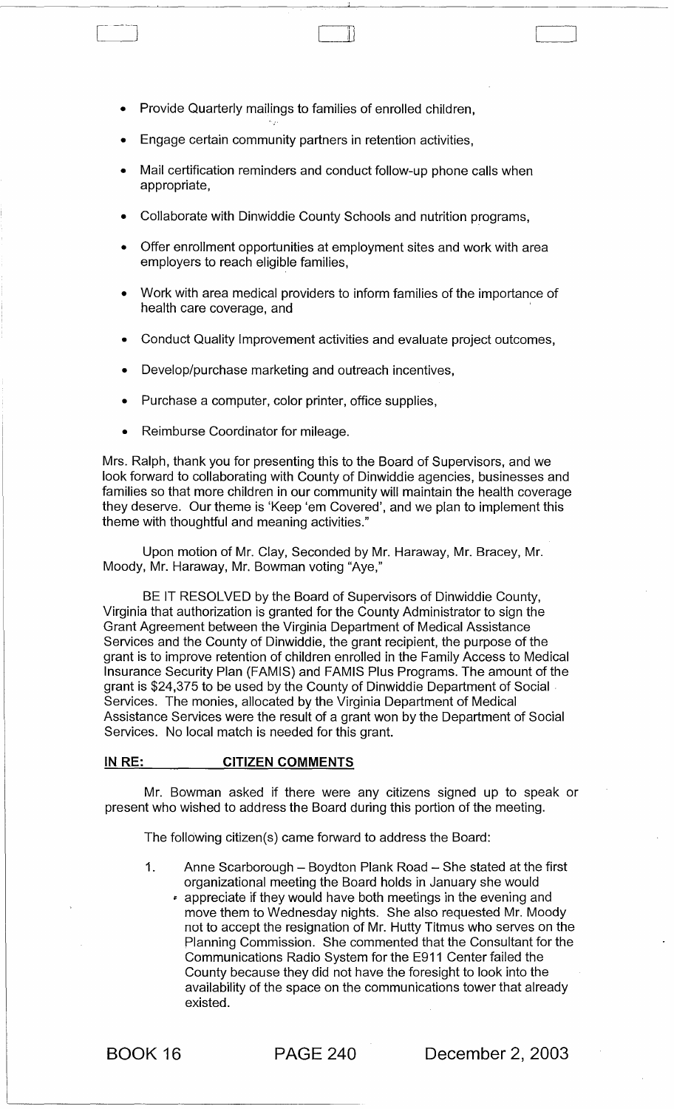- Provide Quarterly mailings to families of enrolled children,
- Engage certain community partners in retention activities,
- Mail certification reminders and conduct follow-up phone calls when appropriate,

 $\Box$ 

- Collaborate with Dinwiddie County Schools and nutrition programs,
- Offer enrollment opportunities at employment sites and work with area employers to reach eligible families,
- Work with area medical providers to inform families of the importance of health care coverage, and
- Conduct Quality Improvement activities and evaluate project outcomes,
- Develop/purchase marketing and outreach incentives,
- Purchase a computer, color printer, office supplies,
- Reimburse Coordinator for mileage.

Mrs. Ralph, thank you for presenting this to the Board of Supervisors, and we look forward to collaborating with County of Dinwiddie agencies, businesses and families so that more children in our community will maintain the health coverage they deserve. Our theme is 'Keep 'em Covered', and we plan to implement this theme with thoughtful and meaning activities."

Upon motion of Mr. Clay, Seconded by Mr. Haraway, Mr. Bracey, Mr. Moody, Mr. Haraway, Mr. Bowman voting "Aye,"

BE IT RESOLVED by the Board of Supervisors of Dinwiddie County, Virginia that authorization is granted for the County Administrator to sign the Grant Agreement between the Virginia Department of Medical Assistance Services and the County of Dinwiddie, the grant recipient, the purpose of the grant is to improve retention of children enrolled in the Family Access to Medical Insurance Security Plan (FAMIS) and FAMIS Plus Programs. The amount of the grant is \$24,375 to be used by the County of Dinwiddie Department of Social· Services. The monies, allocated by the Virginia Department of Medical Assistance Services were the result of a grant won by the Department of Social Services. No local match is needed for this grant.

#### IN RE: CITIZEN COMMENTS

Mr. Bowman asked if there were any citizens signed up to speak or present who wished to address the Board during this portion of the meeting.

The following citizen(s) came forward to address the Board:

- 1. Anne Scarborough Boydton Plank Road She stated at the first organizational meeting the Board holds in January she would
	- <sup>~</sup>appreciate if they would have both meetings in the evening and move them to Wednesday nights. She also requested Mr. Moody not to accept the resignation of Mr. Hutty Titmus who serves on the Planning Commission. She commented that the Consultant for the Communications Radio System for the E911 Center failed the County because they did not have the foresight to look into the availability of the space on the communications tower that already existed.

BOOK 16 PAGE 240 December 2, 2003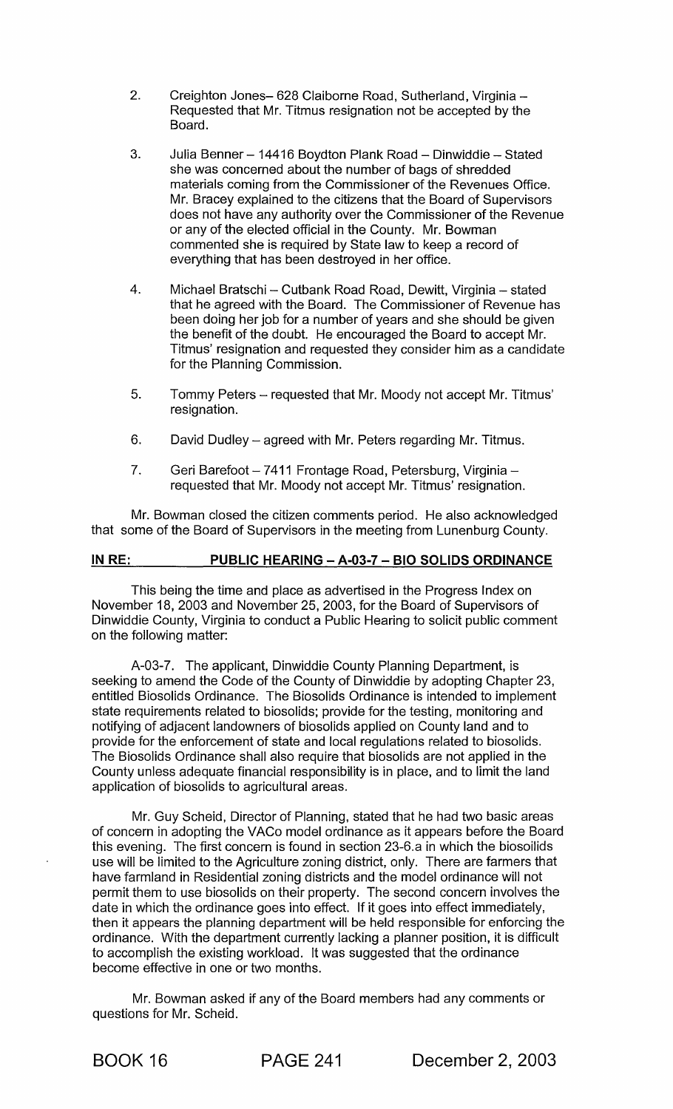- 2. Creighton Jones- 628 Claiborne Road, Sutherland, Virginia -Requested that Mr. Titmus resignation not be accepted by the Board.
- 3. Julia Benner 14416 Boydton Plank Road Dinwiddie Stated she was concerned about the number of bags of shredded materials coming from the Commissioner of the Revenues Office. Mr. Bracey explained to the citizens that the Board of Supervisors does not have any authority over the Commissioner of the Revenue or any of the elected official in the County. Mr. Bowman commented she is required by State law to keep a record of everything that has been destroyed in her office.
- 4. Michael Bratschi Cutbank Road Road, Dewitt, Virginia stated that he agreed with the Board. The Commissioner of Revenue has been doing her job for a number of years and she should be given the benefit of the doubt. He encouraged the Board to accept Mr. Titmus' resignation and requested they consider him as a candidate for the Planning Commission.
- 5. Tommy Peters requested that Mr. Moody not accept Mr. Titmus' resignation.
- 6. David Dudley  $-$  agreed with Mr. Peters regarding Mr. Titmus.
- 7. Geri Barefoot 7411 Frontage Road, Petersburg, Virginia requested that Mr. Moody not accept Mr. Titmus' resignation.

Mr. Bowman closed the citizen comments period. He also acknowledged that some of the Board of Supervisors in the meeting from Lunenburg County.

## IN RE: PUBLIC HEARING - A-03-7 - BIO SOLIDS ORDINANCE

This being the time and place as advertised in the Progress Index on November 18, 2003 and November 25, 2003, for the Board of Supervisors of Dinwiddie County, Virginia to conduct a Public Hearing to solicit public comment on the following matter:

A-03-7. The applicant, Dinwiddie County Planning Department, is seeking to amend the Code of the County of Dinwiddie by adopting Chapter 23, entitled Biosolids Ordinance. The Biosolids Ordinance is intended to implement state requirements related to biosolids; provide for the testing, monitoring and notifying of adjacent landowners of biosolids applied on County land and to provide for the enforcement of state and local regulations related to biosolids. The Biosolids Ordinance shall also require that biosolids are not applied in the County unless adequate financial responsibility is in place, and to limit the land application of biosolids to agricultural areas.

Mr. Guy Scheid, Director of Planning, stated that he had two basic areas of concern in adopting the VACo model ordinance as it appears before the Board this evening. The first concern is found in section 23-6.a in which the biosoilids use will be limited to the Agriculture zoning district, only. There are farmers that have farmland in Residential zoning districts and the model ordinance will not permit them to use biosolids on their property. The second concern involves the date in which the ordinance goes into effect. If it goes into effect immediately, then it appears the planning department will be held responsible for enforcing the ordinance. With the department currently lacking a planner position, it is difficult to accomplish the existing workload. It was suggested that the ordinance become effective in one or two months.

Mr. Bowman asked if any of the Board members had any comments or questions for Mr. Scheid.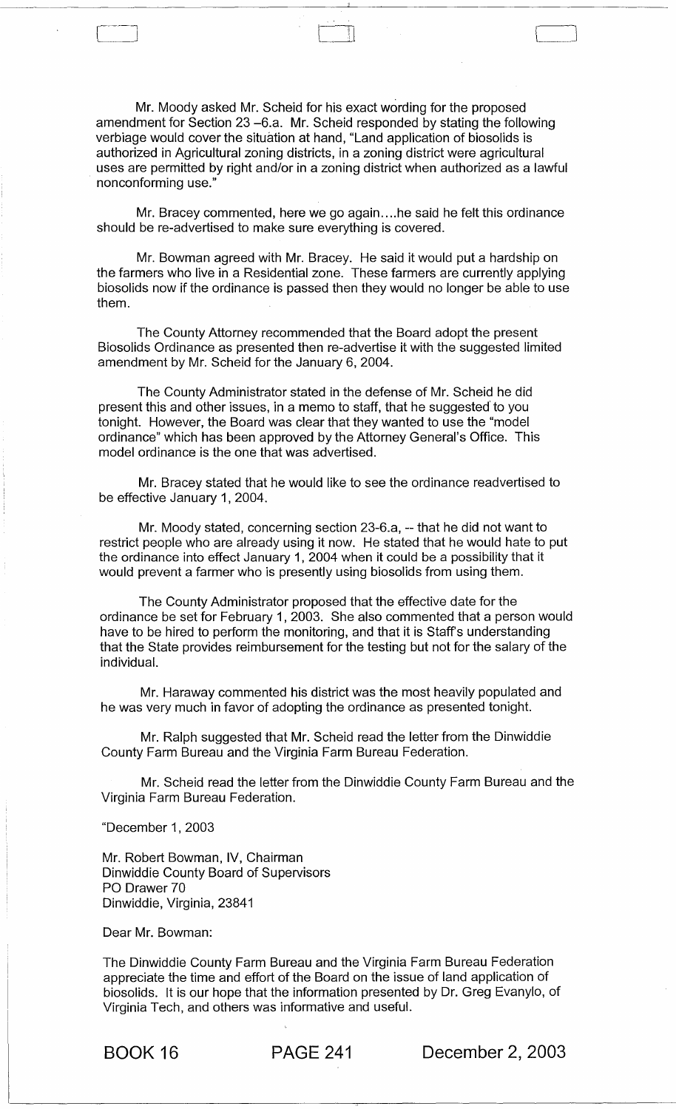Mr. Moody asked Mr. Scheid for his exact wording for the proposed amendment for Section 23 -6.a. Mr. Scheid responded by stating the following verbiage would cover the situation at hand, "Land application of biosolids is authorized in Agricultural zoning districts, in a zoning district were agricultural uses are permitted by right and/or in a zoning district when authorized as a lawful nonconforming use."

Mr. Bracey commented, here we go again.... he said he felt this ordinance should be re-advertised to make sure everything is covered.

Mr. Bowman agreed with Mr. Bracey. He said it would put a hardship on the farmers who live in a Residential zone. These farmers are currently applying biosolids now if the ordinance is passed then they would no longer be able to use them.

The County Attorney recommended that the Board adopt the present Biosolids Ordinance as presented then re-advertise it with the suggested limited amendment by Mr. Scheid for the January 6, 2004.

The County Administrator stated in the defense of Mr. Scheid he did present this and other issues, in a memo to staff, that he suggested to you tonight. However, the Board was clear that they wanted to use the "model ordinance" which has been approved by the Attorney General's Office. This model ordinance is the one that was advertised.

Mr. Bracey stated that he would like to see the ordinance readvertised to be effective January 1, 2004.

Mr. Moody stated, concerning section 23-6.a, -- that he did not want to restrict people who are already using it now. He stated that he would hate to put the ordinance into effect January 1, 2004 when it could be a possibility that it would prevent a farmer who is presently using biosolids from using them.

The County Administrator proposed that the effective date for the ordinance be set for February 1, 2003. She also commented that a person would have to be hired to perform the monitoring, and that it is Staff's understanding that the State provides reimbursement for the testing but not for the salary of the individual.

Mr. Haraway commented his district was the most heavily populated and he was very much in favor of adopting the ordinance as presented tonight.

Mr. Ralph suggested that Mr. Scheid read the letter from the Dinwiddie County Farm Bureau and the Virginia Farm Bureau Federation.

Mr. Scheid read the letter from the Dinwiddie County Farm Bureau and the Virginia Farm Bureau Federation.

"December 1, 2003

 $\Gamma$  -  $\sim$   $\sim$   $\sim$   $\sim$ 

Mr. Robert Bowman, IV, Chairman Dinwiddie County Board of Supervisors PO Drawer 70 Dinwiddie, Virginia, 23841

Dear Mr. Bowman:

The Dinwiddie County Farm Bureau and the Virginia Farm Bureau Federation appreciate the time and effort of the Board on the issue of land application of biosolids. It is our hope that the information presented by Dr. Greg Evanylo, of Virginia Tech, and others was informative and useful.

BOOK 16 PAGE 241 December 2, 2003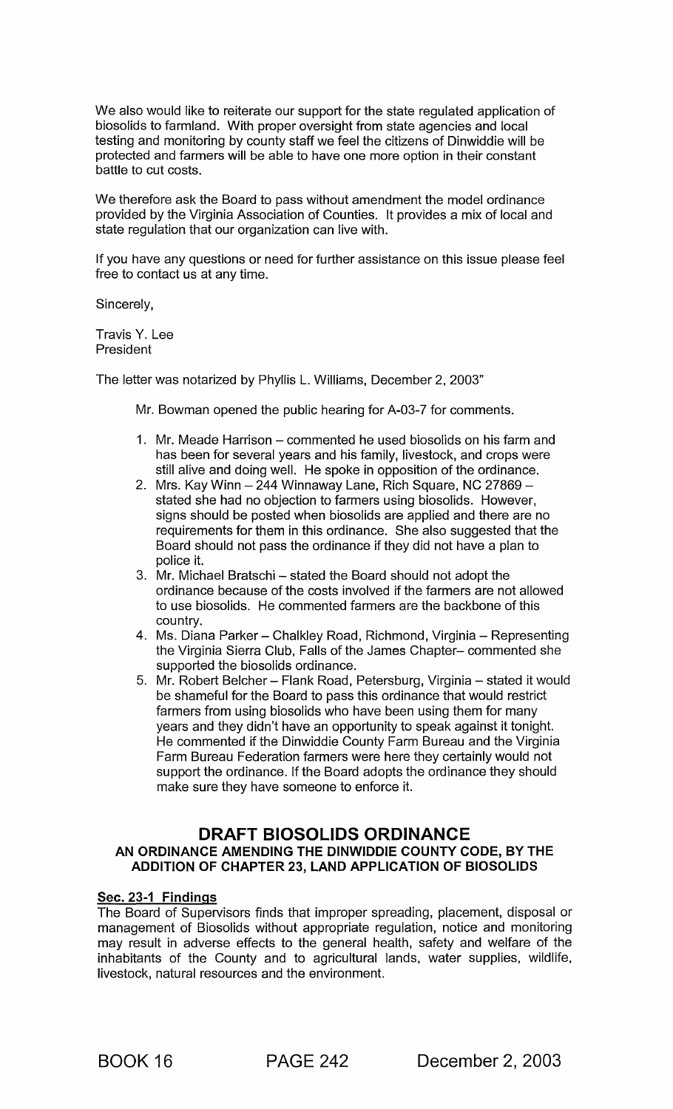We also would like to reiterate our support for the state regulated application of biosolids to farmland. With proper oversight from state agencies and local testing and monitoring by county staff we feel the citizens of Dinwiddie will be protected and farmers will be able to have one more option in their constant battle to cut costs.

We therefore ask the Board to pass without amendment the model ordinance provided by the Virginia Association of Counties. It provides a mix of local and state regulation that our organization can live with.

If you have any questions or need for further assistance on this issue please feel free to contact us at any time.

Sincerely,

Travis Y. Lee **President** 

The letter was notarized by Phyllis L. Williams, December 2, 2003"

Mr. Bowman opened the public hearing for A-03-7 for comments.

- 1. Mr. Meade Harrison commented he used biosolids on his farm and has been for several years and his family, livestock, and crops were still alive and doing well. He spoke in opposition of the ordinance.
- 2. Mrs. Kay Winn  $-$  244 Winnaway Lane, Rich Square, NC 27869  $$ stated she had no objection to farmers using biosolids. However, signs should be posted when biosolids are applied and there are no requirements for them in this ordinance. She also suggested that the Board should not pass the ordinance if they did not have a plan to police it.
- 3. Mr. Michael Bratschi stated the Board should not adopt the ordinance because of the costs involved if the farmers are not allowed to use biosolids. He commented farmers are the backbone of this country.
- 4. Ms. Diana Parker Chalkley Road, Richmond, Virginia Representing the Virginia Sierra Club, Falls of the James Chapter- commented she supported the biosolids ordinance.
- 5. Mr. Robert Belcher Flank Road, Petersburg, Virginia stated it would be shameful for the Board to pass this ordinance that would restrict farmers from using biosolids who have been using them for many years and they didn't have an opportunity to speak against it tonight. He commented if the Dinwiddie County Farm Bureau and the Virginia Farm Bureau Federation farmers were here they certainly would not support the ordinance. If the Board adopts the ordinance they should make sure they have someone to enforce it.

# **DRAFT BIOSOLIDS ORDINANCE**

## AN ORDINANCE AMENDING THE DINWIDDIE COUNTY CODE, BY THE ADDITION OF CHAPTER 23, LAND APPLICATION OF BIOSOLIDS

#### Sec. 23-1 Findings

The Board of Supervisors finds that improper spreading, placement, disposal or management of Biosolids without appropriate regulation, notice and monitoring may result in adverse effects to the general health, safety and welfare of the inhabitants of the County and to agricultural lands, water supplies, wildlife, livestock, natural resources and the environment.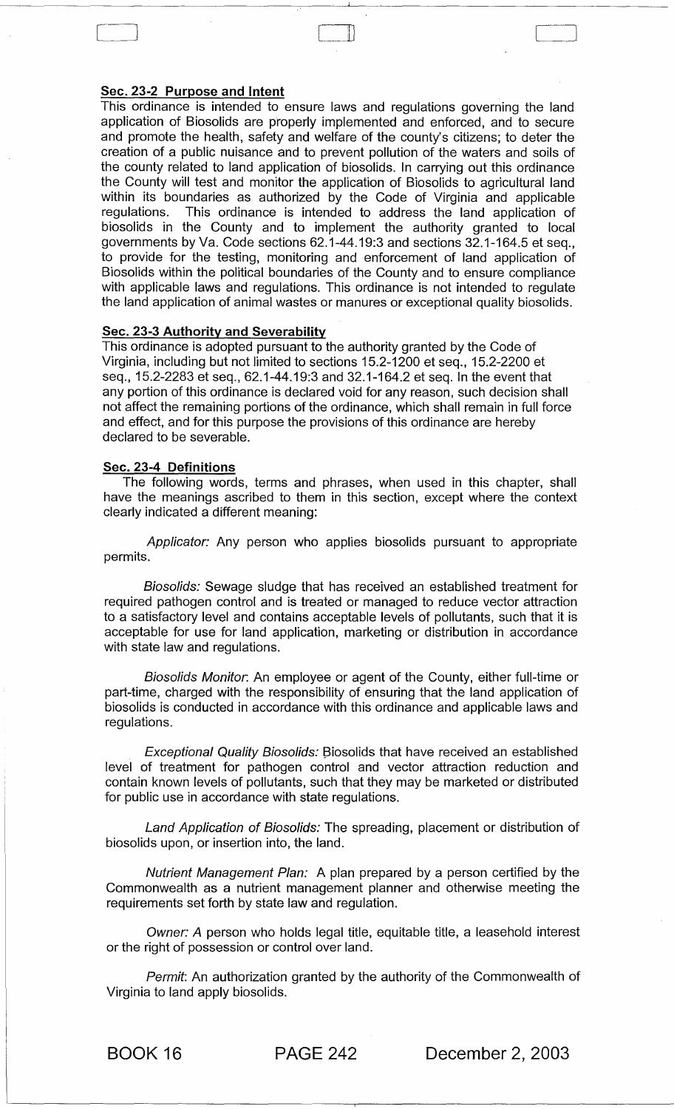#### Sec. 23-2 Purpose and Intent

This ordinance is intended to ensure laws and regulations governing the land application of Biosolids are properly implemented and enforced, and to secure and promote the health, safety and welfare of the county's citizens; to deter the creation of a public nuisance and to prevent pollution of the waters and soils of the county related to land application of biosolids. In carrying out this ordinance the County will test and monitor the application of Biosolids to agricultural land within its boundaries as authorized by the Code of Virginia and applicable regulations. This ordinance is intended to address the land application of biosolids in the County and to implement the authority granted to local governments by Va. Code sections 62.1-44.19:3 and sections 32.1-164.5 et seq., to provide for the testing, monitoring and enforcement of land application of Biosolids within the political boundaries of the County and to ensure compliance with applicable laws and regulations. This ordinance is not intended to regulate the land application of animal wastes or manures or exceptional quality biosolids.

:11

#### Sec. 23-3 Authority and Severability

This ordinance is adopted pursuant to the authority granted by the Code of Virginia, including but not limited to sections 15.2-1200 et seq., 15.2-2200 et seq., 15.2-2283 et seq., 62.1-44.19:3 and 32.1-164.2 et seq. In the event that any portion of this ordinance is declared void for any reason, such decision shall not affect the remaining portions of the ordinance, which shall remain in full force and effect, and for this purpose the provisions of this ordinance are hereby declared to be severable.

#### Sec. 23-4 Definitions

The following words, terms and phrases, when used in this chapter, shall have the meanings ascribed to them in this section, except where the context clearly indicated a different meaning:

Applicator: Any person who applies biosolids pursuant to appropriate permits.

Biosolids: Sewage sludge that has received an established treatment for required pathogen control and is treated or managed to reduce vector attraction to a satisfactory level and contains acceptable levels of pollutants, such that it is acceptable for use for land application, marketing or distribution in accordance with state law and regulations.

Biosolids Monitor. An employee or agent of the County, either full-time or part-time, charged with the responsibility of ensuring that the land application of biosolids is conducted in accordance with this ordinance and applicable laws and regulations.

Exceptional Quality Biosolids: Biosolids that have received an established level of treatment for pathogen control and vector attraction reduction and contain known levels of pollutants, such that they may be marketed or distributed for public use in accordance with state regulations.

Land Application of Biosolids: The spreading, placement or distribution of biosolids upon, or insertion into, the land.

Nutrient Management Plan: A plan prepared by a person certified by the Commonwealth as a nutrient management planner and otherwise meeting the requirements set forth by state law and regulation.

Owner: A person who holds legal title, equitable title, a leasehold interest or the right of possession or control over land.

Permit: An authorization granted by the authority of the Commonwealth of Virginia to land apply biosolids.

BOOK 16 PAGE 242 December 2, 2003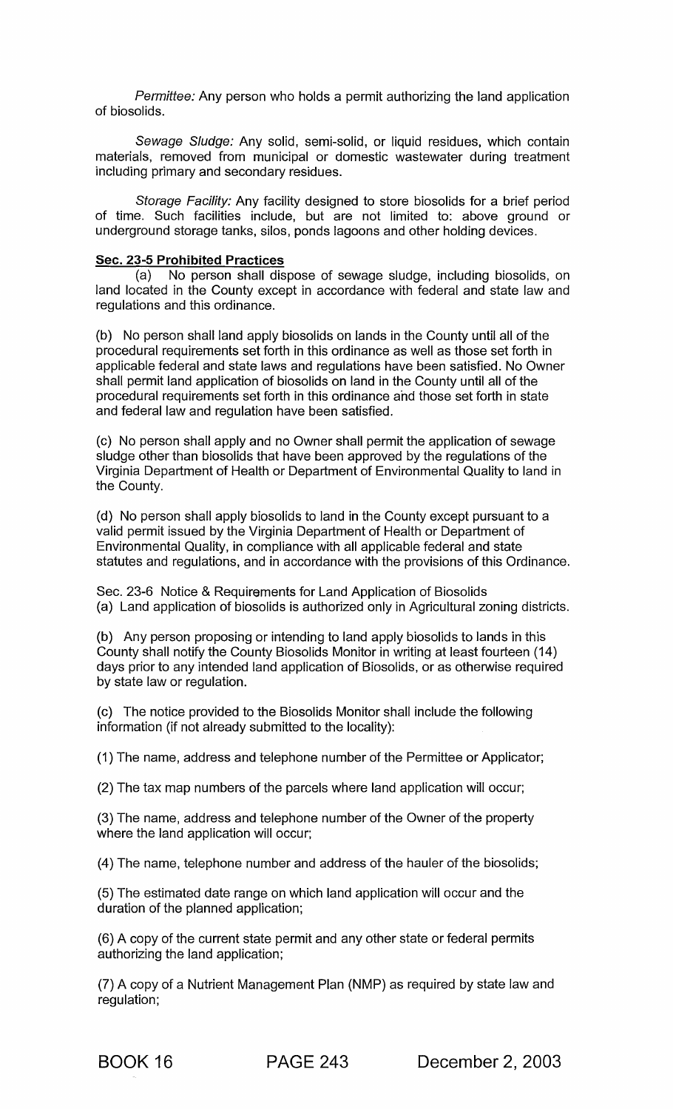Permittee: Any person who holds a permit authorizing the land application of biosolids.

Sewage Sludge: Any solid, semi-solid, or liquid residues, which contain materials, removed from municipal or domestic wastewater during treatment including primary and secondary residues.

Storage Facility: Any facility designed to store biosolids for a brief period of time. Such facilities include, but are not limited to: above ground or underground storage tanks, silos, ponds lagoons and other holding devices.

#### Sec. 23-5 Prohibited Practices

(a) No person shall dispose of sewage sludge, including biosolids, on land located in the County except in accordance with federal and state law and regulations and this ordinance.

(b) No person shall land apply biosolids on lands in the County until all of the procedural requirements set forth in this ordinance as well as those set forth in applicable federal and state laws and regulations have been satisfied. No Owner shall permit land application of biosolids on land in the County until all of the procedural requirements set forth in this ordinance and those set forth in state and federal law and regulation have been satisfied.

(c) No person shall apply and no Owner shall permit the application of sewage sludge other than biosolids that have been approved by the regulations of the Virginia Department of Health or Department of Environmental Quality to land in the County.

(d) No person shall apply biosolids to land in the County except pursuant to a valid permit issued by the Virginia Department of Health or Department of Environmental Quality, in compliance with all applicable federal and state statutes and regulations, and in accordance with the provisions of this Ordinance.

Sec. 23-6 Notice & Requirements for Land Application of Biosolids (a) Land application of biosolids is authorized only in Agricultural zoning districts.

(b) Any person proposing or intending to land apply biosolids to lands in this County shall notify the County Biosolids Monitor in writing at least fourteen (14) days prior to any intended land application of Biosolids, or as otherwise required by state law or regulation.

(c) The notice provided to the Biosolids Monitor shall include the following information (if not already submitted to the locality):

(1) The name, address and telephone number of the Permittee or Applicator;

(2) The tax map numbers of the parcels where land application will occur;

(3) The name, address and telephone number of the Owner of the property where the land application will occur;

(4) The name, telephone number and address of the hauler of the biosolids;

(5) The estimated date range on which land application will occur and the duration of the planned application;

(6) A copy of the current state permit and any other state or federal permits authorizing the land application;

(7) A copy of a Nutrient Management Plan (NMP) as required by state law and regulation;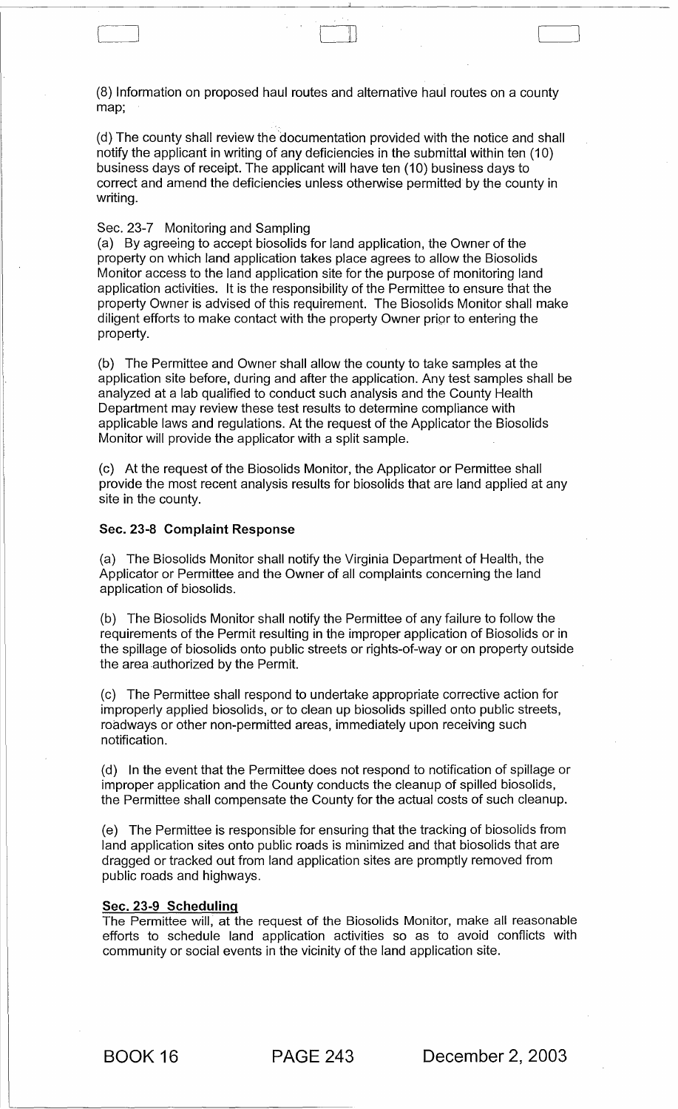(8) Information on proposed haul routes and alternative haul routes on a county map;

(d) The county shall review the 'documentation provided with the notice and shall notify the applicant in writing of any deficiencies in the submittal within ten (10) business days of receipt. The applicant will have ten (10) business days to correct and amend the deficiencies unless otherwise permitted by the county in writing.

#### Sec. 23-7 Monitoring and Sampling

L---.--\_J

(a) By agreeing to accept biosolids for land application, the Owner of the property on which land application takes place agrees to allow the Biosolids Monitor access to the land application site for the purpose of monitoring land application activities. It is the responsibility of the Permittee to ensure that the property Owner is advised of this requirement. The Biosolids Monitor shall make diligent efforts to make contact with the property Owner prior to entering the property.

(b) The Permittee and Owner shall allow the county to take samples at the application site before, during and after the application. Any test samples shall be analyzed at a lab qualified to conduct such analysis and the County Health Department may review these test results to determine compliance with applicable laws and regulations. At the request of the Applicator the Biosolids Monitor will provide the applicator with a split sample.

(c) At the request of the Biosolids Monitor, the Applicator or Permittee shall provide the most recent analysis results for biosolids that are land applied at any site in the county.

#### Sec. 23-8 **Complaint** Response

(a) The Biosolids Monitor shall notify the Virginia Department of Health, the Applicator or Permittee and the Owner of all complaints concerning the land application of biosolids.

(b) The Biosolids Monitor shall notify the Permittee of any failure to follow the requirements of the Permit resulting in the improper application of Biosolids or in the spillage of biosolids onto public streets or rights-of-way or on property outside the area authorized by the Permit.

(c) The Permittee shall respond to undertake appropriate corrective action for improperly applied biosolids, or to clean up biosolids spilled onto public streets, roadways or other non-permitted areas, immediately upon receiving such notification.

(d) In the event that the Permittee does not respond to notification of spillage or improper application and the County conducts the cleanup of spilled biosolids, the Permittee shall compensate the County for the actual costs of such cleanup.

(e) The Permittee is responsible for ensuring that the tracking of biosolids from land application sites onto public roads is minimized and that biosolids that are dragged or tracked out from land application sites are promptly removed from public roads and highways.

#### Sec. 23-9 **Scheduling**

The Permittee will, at the request of the Biosolids Monitor, make all reasonable efforts to schedule land application activities so as to avoid conflicts with community or social events in the vicinity of the land application site.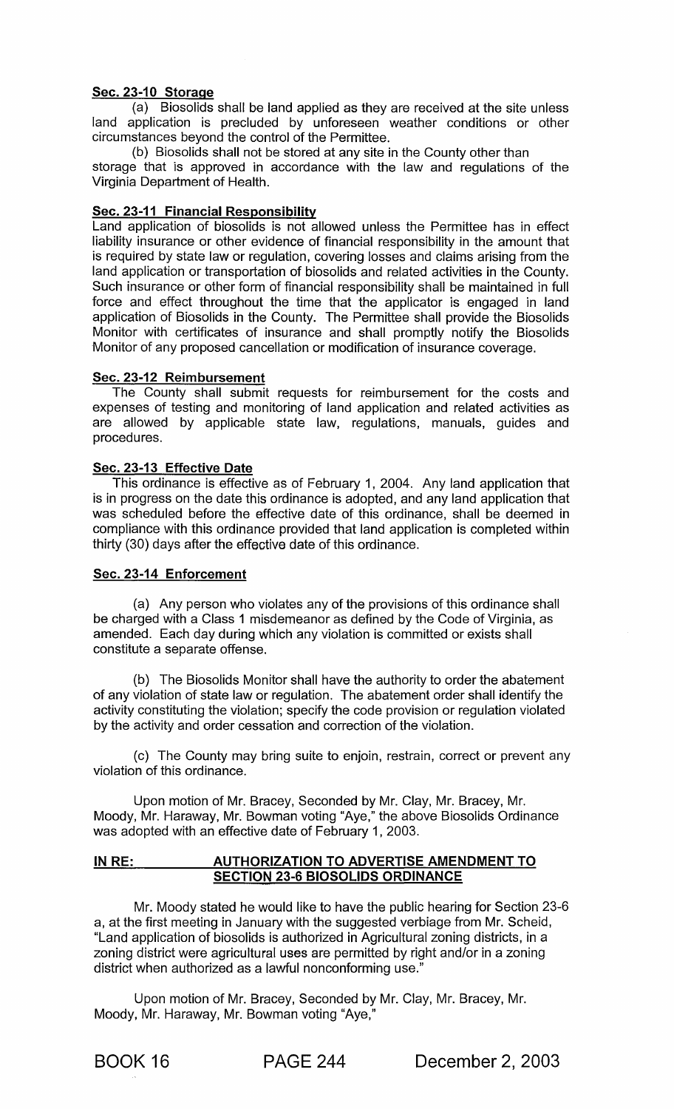## Sec. 23-10 Storage

(a) Biosolids shall be land applied as they are received at the site unless land application is precluded by unforeseen weather conditions or other circumstances beyond the control of the Permittee.

(b) Biosolids shall not be stored at any site in the County other than storage that is approved in accordance with the law and regulations of the Virginia Department of Health.

## Sec. 23-11 Financial Responsibility

Land application of biosolids is not allowed unless the Permittee has in effect liability insurance or other evidence of financial responsibility in the amount that is required by state law or regulation, covering losses and claims arising from the land application or transportation of biosolids and related activities in the County. Such insurance or other form of financial responsibility shall be maintained in full force and effect throughout the time that the applicator is engaged in land application of Biosolids in the County. The Permittee shall provide the Biosolids Monitor with certificates of insurance and shall promptly notify the Biosolids Monitor of any proposed cancellation or modification of insurance coverage.

## Sec.23-12 Reimbursement

The County shall submit requests for reimbursement for the costs and expenses of testing and monitoring of land application and related activities as are allowed by applicable state law, regulations, manuals, guides and procedures.

## Sec. 23-13 Effective Date

This ordinance is effective as of February 1, 2004. Any land application that is in progress on the date this ordinance is adopted, and any land application that was scheduled before the effective date of this ordinance, shall be deemed in compliance with this ordinance provided that land application is completed within thirty (30) days after the effective date of this ordinance.

## Sec. 23-14 Enforcement

(a) Any person who violates any of the provisions of this ordinance shall be charged with a Class 1 misdemeanor as defined by the Code of Virginia, as amended. Each day during which any violation is committed or exists shall constitute a separate offense.

(b) The Biosolids Monitor shall have the authority to order the abatement of any violation of state law or regulation. The abatement order shall identify the activity constituting the violation; specify the code provision or regulation violated by the activity and order cessation and correction of the violation.

(c) The County may bring suite to enjoin, restrain, correct or prevent any violation of this ordinance.

Upon motion of Mr. Bracey, Seconded by Mr. Clay, Mr. Bracey, Mr. Moody, Mr. Haraway, Mr. Bowman voting "Aye," the above Biosolids Ordinance was adopted with an effective date of February 1, 2003.

#### IN RE: AUTHORIZATION TO ADVERTISE AMENDMENT TO SECTION 23-6 BIOSOLIDS ORDINANCE

Mr. Moody stated he would like to have the public hearing for Section 23-6 a, at the first meeting in January with the suggested verbiage from Mr. Scheid, "Land application of biosolids is authorized in Agricultural zoning districts, in a zoning district were agricultural uses are permitted by right and/or in a zoning district when authorized as a lawful nonconforming use."

Upon motion of Mr. Bracey, Seconded by Mr. Clay, Mr. Bracey, Mr. Moody, Mr. Haraway, Mr. Bowman voting "Aye,"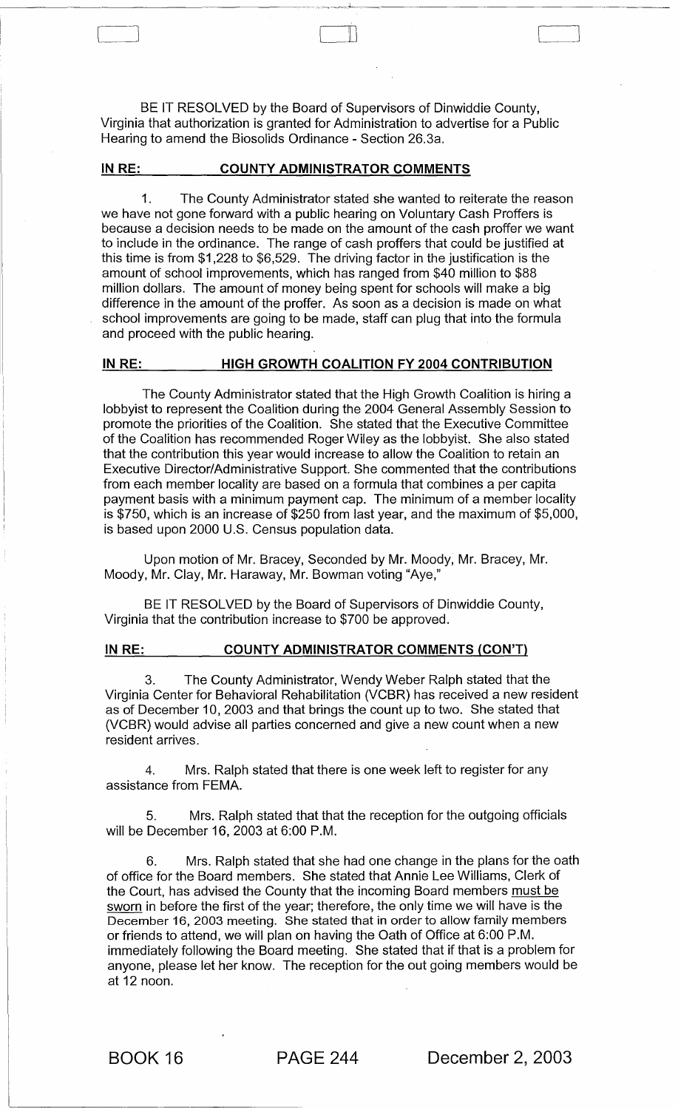BE IT RESOLVED by the Board of Supervisors of Dinwiddie County, Virginia that authorization is granted for Administration to advertise for a Public Hearing to amend the Biosolids Ordinance - Section 26.3a.

#### IN RE: COUNTY ADMINISTRATOR COMMENTS

\_\_\_\_\_\_\_\_\_\_\_\_\_\_\_\_\_\_ <sup>~</sup>\_\_\_\_\_ ~.\_~~~I~

C-]

1. The County Administrator stated she wanted to reiterate the reason we have not gone forward with a public hearing on Voluntary Cash Proffers is because a decision needs to be made on the amount of the cash proffer we want to include in the ordinance. The range of cash proffers that could be justified at this time is from \$1,228 to \$6,529. The driving factor in the justification is the amount of school improvements, which has ranged from \$40 million to \$88 million dollars. The amount of money being spent for schools will make a big difference in the amount of the proffer. As soon as a decision is made on what school improvements are going to be made, staff can plug that into the formula and proceed with the public hearing.

#### IN RE: HIGH GROWTH COALITION FY 2004 CONTRIBUTION

The County Administrator stated that the High Growth Coalition is hiring a lobbyist to represent the Coalition during the 2004 General Assembly Session to promote the priorities of the Coalition. She stated that the Executive Committee of the Coalition has recommended Roger Wiley as the lobbyist. She also stated that the contribution this year would increase to allow the Coalition to retain an Executive Director/Administrative Support. She commented that the contributions from each member locality are based on a formula that combines a per capita payment basis with a minimum payment cap. The minimum of a member locality is \$750, which is an increase of \$250 from last year, and the maximum of \$5,000, is based upon 2000 U.S. Census population data.

Upon motion of Mr. Bracey, Seconded by Mr. Moody, Mr. Bracey, Mr. Moody, Mr. Clay, Mr. Haraway, Mr. Bowman voting "Aye,"

BE IT RESOLVED by the Board of Supervisors of Dinwiddie County, Virginia that the contribution increase to \$700 be approved.

#### IN RE: COUNTY ADMINISTRATOR COMMENTS (CON'T)

The County Administrator, Wendy Weber Ralph stated that the Virginia Center for Behavioral Rehabilitation (VCBR) has received a new resident as of December 10,2003 and that brings the count up to two. She stated that (VCBR) would advise all parties concerned and give a new count when a new resident arrives.

4. Mrs. Ralph stated that there is one week left to register for any assistance from FEMA.

5. Mrs. Ralph stated that that the reception for the outgoing officials will be December 16, 2003 at 6:00 P.M.

6. Mrs. Ralph stated that she had one change in the plans for the oath of office for the Board members. She stated that Annie Lee Williams, Clerk of the Court, has advised the County that the incoming Board members must be sworn in before the first of the year; therefore, the only time we will have is the December 16, 2003 meeting. She stated that in order to allow family members or friends to attend, we will plan on having the Oath of Office at 6:00 P.M. immediately following the Board meeting. She stated that if that is a problem for anyone, please let her know. The reception for the out going members would be at 12 noon.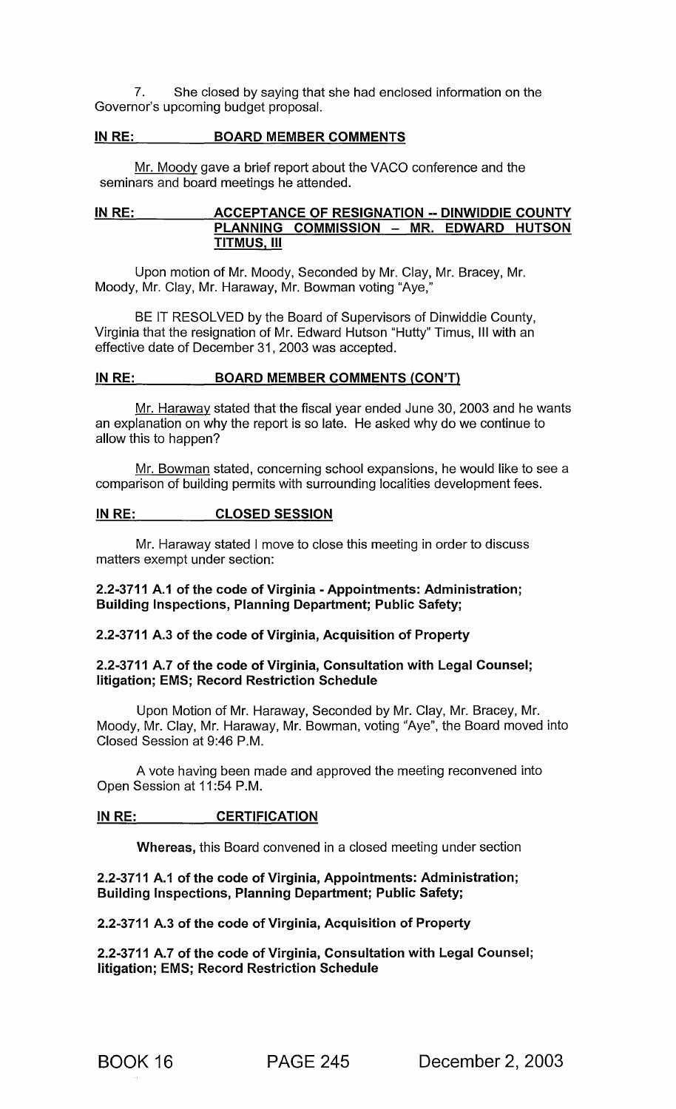7. She closed by saying that she had enclosed information on the Governor's upcoming budget proposal.

#### IN RE: BOARD MEMBER COMMENTS

Mr. Moody gave a brief report about the VACO conference and the seminars and board meetings he attended.

#### IN RE: ACCEPTANCE OF RESIGNATION -- DINWIDDIE COUNTY PLANNING COMMISSION - MR. EDWARD HUTSON TITMUS, III

Upon motion of Mr. Moody, Seconded by Mr. Clay, Mr. Bracey, Mr. Moody, Mr. Clay, Mr. Haraway, Mr. Bowman voting "Aye,"

BE IT RESOLVED by the Board of Supervisors of Dinwiddie County, Virginia that the resignation of Mr. Edward Hutson "Hutty" Timus, III with an effective date of December 31 , 2003 was accepted.

#### IN RE: BOARD MEMBER COMMENTS (CON'T)

Mr. Haraway stated that the fiscal year ended June 30, 2003 and he wants an explanation on why the report is so late. He asked why do we continue to allow this to happen?

Mr. Bowman stated, concerning school expansions, he would like to see a comparison of building permits with surrounding localities development fees.

#### IN RE: CLOSED SESSION

Mr. Haraway stated I move to close this meeting in order to discuss matters exempt under section:

## 2.2-3711 A.1 of the code of Virginia - Appointments: Administration; Building Inspections, Planning Department; Public Safety;

## 2.2-3711 A.3 of the code of Virginia, Acquisition of Property

#### 2.2-3711 A.7 of the code of Virginia, Consultation with Legal Counsel; litigation; EMS; Record Restriction Schedule

Upon Motion of Mr. Haraway, Seconded by Mr. Clay, Mr. Bracey, Mr. Moody, Mr. Clay, Mr. Haraway, Mr. Bowman, voting "Aye", the Board moved into Closed Session at 9:46 P.M.

A vote having been made and approved the meeting reconvened into Open Session at 11 :54 P.M.

#### IN RE: CERTIFICATION

Whereas, this Board convened in a closed meeting under section

## 2.2-3711 A.1 of the code of Virginia, Appointments: Administration; Building Inspections, Planning Department; Public Safety;

2.2-3711 A.3 of the code of Virginia, Acquisition of Property

2.2-3711 A.7 of the code of Virginia, Consultation with Legal Counsel; litigation; EMS; Record Restriction Schedule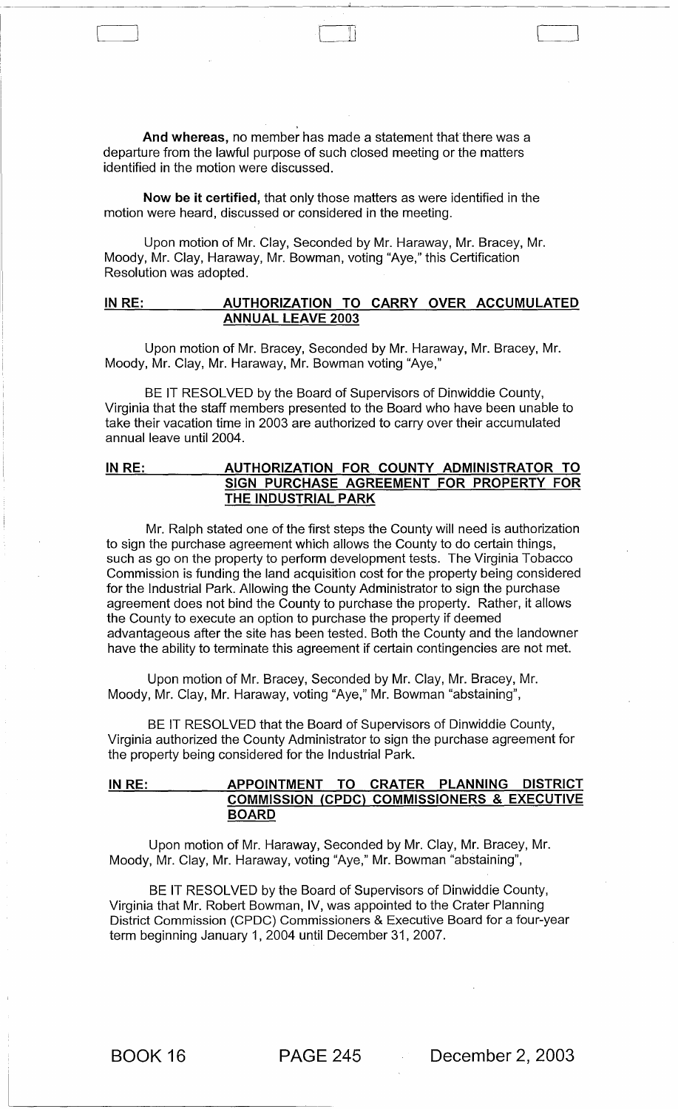And whereas, no member has made a statement that there was a departure from the lawful purpose of such closed meeting or the matters identified in the motion were discussed.

[ '----\_J 'I i ~\_J

Now be it certified, that only those matters as were identified in the motion were heard, discussed or considered in the meeting.

Upon motion of Mr. Clay, Seconded by Mr. Haraway, Mr. Bracey, Mr. Moody, Mr. Clay, Haraway, Mr. Bowman, voting "Aye," this Certification Resolution was adopted.

## IN RE: AUTHORIZATION TO CARRY OVER ACCUMULATED ANNUAL LEAVE 2003

Upon motion of Mr. Bracey, Seconded by Mr. Haraway, Mr. Bracey, Mr. Moody, Mr. Clay, Mr. Haraway, Mr. Bowman voting "Aye,"

BE IT RESOLVED by the Board of Supervisors of Dinwiddie County, Virginia that the staff members presented to the Board who have been unable to take their vacation time in 2003 are authorized to carry over their accumulated annual leave until 2004.

## IN RE: AUTHORIZATION FOR COUNTY ADMINISTRATOR TO SIGN PURCHASE AGREEMENT FOR PROPERTY FOR THE INDUSTRIAL PARK

Mr. Ralph stated one of the first steps the County will need is authorization to sign the purchase agreement which allows the County to do certain things, such as go on the property to perform development tests. The Virginia Tobacco Commission is funding the land acquisition cost for the property being considered for the Industrial Park. Allowing the County Administrator to sign the purchase agreement does not bind the County to purchase the property. Rather, it allows the County to execute an option to purchase the property if deemed advantageous after the site has been tested. Both the County and the landowner have the ability to terminate this agreement if certain contingencies are not met.

Upon motion of Mr. Bracey, Seconded by Mr. Clay, Mr. Bracey, Mr. Moody, Mr. Clay, Mr. Haraway, voting "Aye," Mr. Bowman "abstaining",

BE IT RESOLVED that the Board of Supervisors of Dinwiddie County, Virginia authorized the County Administrator to sign the purchase agreement for the property being considered for the Industrial Park.

## IN RE: 4PPOINTMENT TO CRATER PLANNING DISTRICT COMMISSION (CPDC) COMMISSIONERS & EXECUTIVE BOARD

Upon motion of Mr. Haraway, Seconded by Mr. Clay, Mr. Bracey, Mr. Moody, Mr. Clay, Mr. Haraway, voting "Aye," Mr. Bowman "abstaining",

BE IT RESOLVED by the Board of Supervisors of Dinwiddie County, Virginia that Mr. Robert Bowman, IV, was appointed to the Crater Planning District Commission (CPDC) Commissioners & Executive Board for a four-year term beginning January 1,2004 until December 31,2007.

BOOK 16 PAGE 245 December 2, 2003